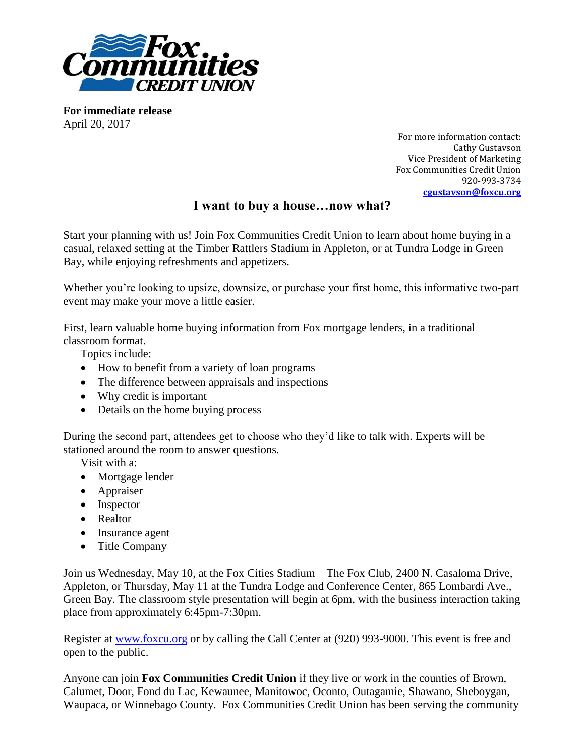

**For immediate release** April 20, 2017

For more information contact: Cathy Gustavson Vice President of Marketing Fox Communities Credit Union 920-993-3734 **[cgustavson@foxcu.org](mailto:lhopfensperger@foxcu.org)**

## **I want to buy a house…now what?**

Start your planning with us! Join Fox Communities Credit Union to learn about home buying in a casual, relaxed setting at the Timber Rattlers Stadium in Appleton, or at Tundra Lodge in Green Bay, while enjoying refreshments and appetizers.

Whether you're looking to upsize, downsize, or purchase your first home, this informative two-part event may make your move a little easier.

First, learn valuable home buying information from Fox mortgage lenders, in a traditional classroom format.

Topics include:

- How to benefit from a variety of loan programs
- The difference between appraisals and inspections
- Why credit is important
- Details on the home buying process

During the second part, attendees get to choose who they'd like to talk with. Experts will be stationed around the room to answer questions.

Visit with a:

- Mortgage lender
- Appraiser
- Inspector
- Realtor
- Insurance agent
- Title Company

Join us Wednesday, May 10, at the Fox Cities Stadium – The Fox Club, 2400 N. Casaloma Drive, Appleton, or Thursday, May 11 at the Tundra Lodge and Conference Center, 865 Lombardi Ave., Green Bay. The classroom style presentation will begin at 6pm, with the business interaction taking place from approximately 6:45pm-7:30pm.

Register at [www.foxcu.org](http://www.foxcu.org/) or by calling the Call Center at (920) 993-9000. This event is free and open to the public.

Anyone can join **Fox Communities Credit Union** if they live or work in the counties of Brown, Calumet, Door, Fond du Lac, Kewaunee, Manitowoc, Oconto, Outagamie, Shawano, Sheboygan, Waupaca, or Winnebago County. Fox Communities Credit Union has been serving the community